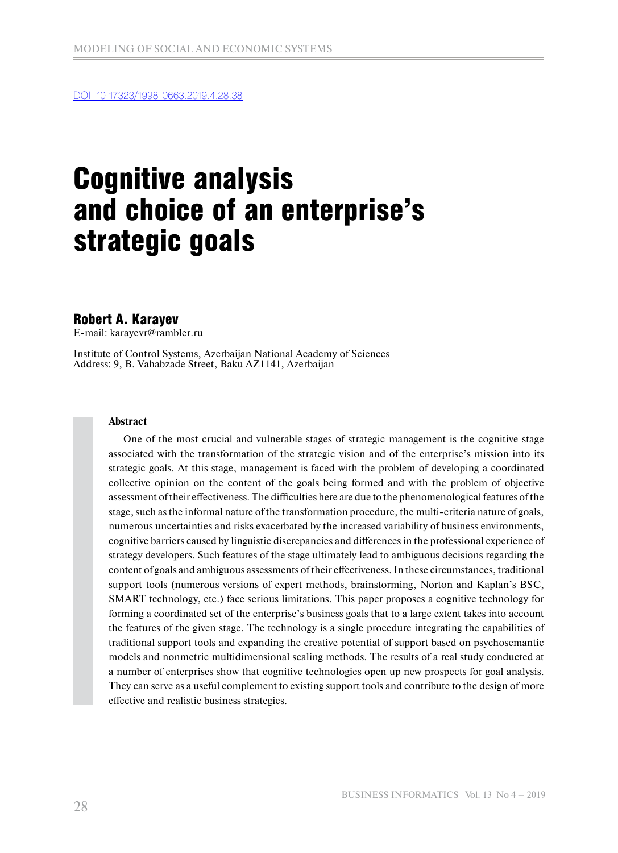[DOI: 10.17323/1998-0663.2019.4.28.38](https://bijournal.hse.ru/en/2019--4%20Vol.13/325113762.html)

# Cognitive analysis and choice of an enterprise's strategic goals

## Robert A. Karayev

E-mail: karayevr@rambler.ru

Institute of Control Systems, Azerbaijan National Academy of Sciences Address: 9, B. Vahabzade Street, Baku AZ1141, Azerbaijan

#### **Abstract**

One of the most crucial and vulnerable stages of strategic management is the cognitive stage associated with the transformation of the strategic vision and of the enterprise's mission into its strategic goals. At this stage, management is faced with the problem of developing a coordinated collective opinion on the content of the goals being formed and with the problem of objective assessment of their effectiveness. The difficulties here are due to the phenomenological features of the stage, such as the informal nature of the transformation procedure, the multi-criteria nature of goals, numerous uncertainties and risks exacerbated by the increased variability of business environments, cognitive barriers caused by linguistic discrepancies and differences in the professional experience of strategy developers. Such features of the stage ultimately lead to ambiguous decisions regarding the content of goals and ambiguous assessments of their effectiveness. In these circumstances, traditional support tools (numerous versions of expert methods, brainstorming, Norton and Kaplan's BSC, SMART technology, etc.) face serious limitations. This paper proposes a cognitive technology for forming a coordinated set of the enterprise's business goals that to a large extent takes into account the features of the given stage. The technology is a single procedure integrating the capabilities of traditional support tools and expanding the creative potential of support based on psychosemantic models and nonmetric multidimensional scaling methods. The results of a real study conducted at a number of enterprises show that cognitive technologies open up new prospects for goal analysis. They can serve as a useful complement to existing support tools and contribute to the design of more effective and realistic business strategies.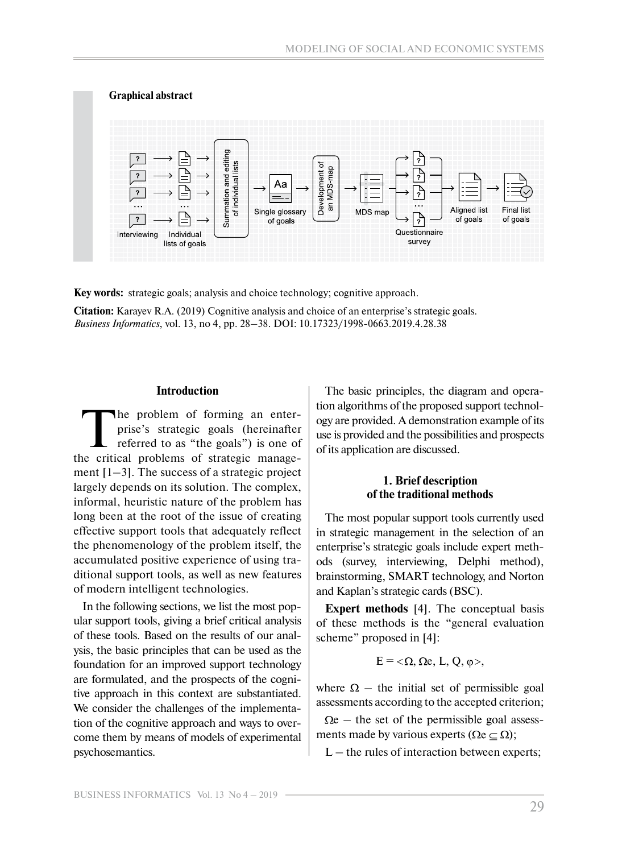

**Key words:** strategic goals; analysis and choice technology; cognitive approach.

**Citation:** Karayev R.A. (2019) Cognitive analysis and choice of an enterprise's strategic goals. *Business Informatics*, vol. 13, no 4, pp. 28–38. DOI: 10.17323/1998-0663.2019.4.28.38

#### **Introduction**

The problem of forming an enterprise's strategic goals (hereinafter referred to as "the goals") is one of the critical problems of strategic management  $[1-3]$ . The success of a strategic project largely depends on its solution. The complex, informal, heuristic nature of the problem has long been at the root of the issue of creating effective support tools that adequately reflect the phenomenology of the problem itself, the accumulated positive experience of using traditional support tools, as well as new features of modern intelligent technologies.

In the following sections, we list the most popular support tools, giving a brief critical analysis of these tools. Based on the results of our analysis, the basic principles that can be used as the foundation for an improved support technology are formulated, and the prospects of the cognitive approach in this context are substantiated. We consider the challenges of the implementation of the cognitive approach and ways to overcome them by means of models of experimental psychosemantics.

The basic principles, the diagram and operation algorithms of the proposed support technology are provided. A demonstration example of its use is provided and the possibilities and prospects of its application are discussed.

#### **1. Brief description of the traditional methods**

The most popular support tools currently used in strategic management in the selection of an enterprise's strategic goals include expert methods (survey, interviewing, Delphi method), brainstorming, SMART technology, and Norton and Kaplan's strategic cards (BSC).

**Expert methods** [4]. The conceptual basis of these methods is the "general evaluation scheme" proposed in [4]:

$$
E = <\Omega, \Omega e, L, Q, \varphi>,
$$

where  $\Omega$  – the initial set of permissible goal assessments according to the accepted criterion;

 $\Omega$ e – the set of the permissible goal assessments made by various experts ( $\Omega \in \Omega$ );

 $L$  – the rules of interaction between experts;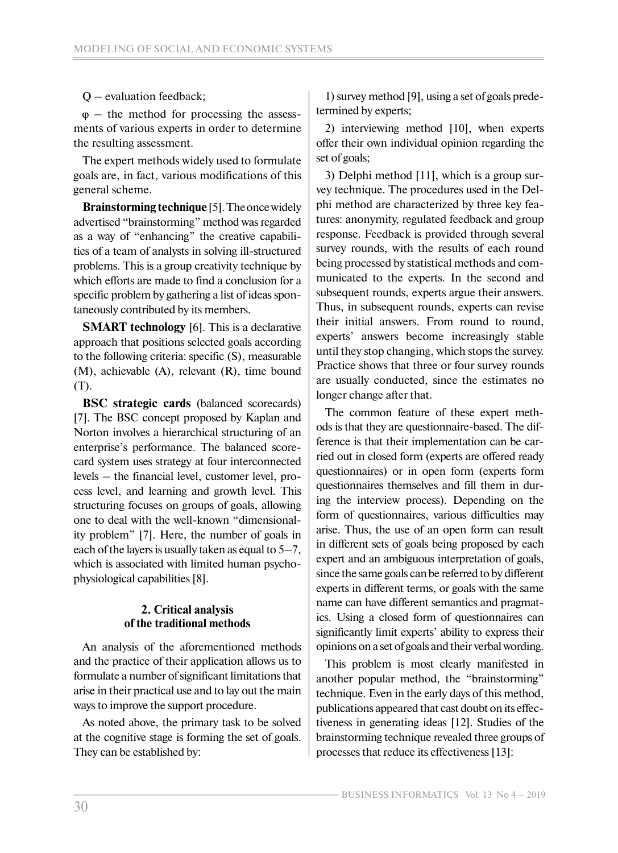## Q – evaluation feedback;

 $\varphi$  – the method for processing the assessments of various experts in order to determine the resulting assessment.

The expert methods widely used to formulate goals are, in fact, various modifications of this general scheme.

**Brainstorming technique** [5]. The once widely advertised "brainstorming" method was regarded as a way of "enhancing" the creative capabilities of a team of analysts in solving ill-structured problems. This is a group creativity technique by which efforts are made to find a conclusion for a specific problem by gathering a list of ideas spontaneously contributed by its members.

**SMART technology** [6]. This is a declarative approach that positions selected goals according to the following criteria: specific (S), measurable (M), achievable (A), relevant (R), time bound (T).

**BSC strategic cards** (balanced scorecards) [7]. The BSC concept proposed by Kaplan and Norton involves a hierarchical structuring of an enterprise's performance. The balanced scorecard system uses strategy at four interconnected levels – the financial level, customer level, process level, and learning and growth level. This structuring focuses on groups of goals, allowing one to deal with the well-known "dimensionality problem" [7]. Here, the number of goals in each of the layers is usually taken as equal to  $5-7$ , which is associated with limited human psychophysiological capabilities [8].

## **2. Critical analysis of the traditional methods**

An analysis of the aforementioned methods and the practice of their application allows us to formulate a number of significant limitations that arise in their practical use and to lay out the main ways to improve the support procedure.

As noted above, the primary task to be solved at the cognitive stage is forming the set of goals. They can be established by:

1) survey method [9], using a set of goals predetermined by experts;

2) interviewing method [10], when experts offer their own individual opinion regarding the set of goals;

3) Delphi method [11], which is a group survey technique. The procedures used in the Delphi method are characterized by three key features: anonymity, regulated feedback and group response. Feedback is provided through several survey rounds, with the results of each round being processed by statistical methods and communicated to the experts. In the second and subsequent rounds, experts argue their answers. Thus, in subsequent rounds, experts can revise their initial answers. From round to round, experts' answers become increasingly stable until they stop changing, which stops the survey. Practice shows that three or four survey rounds are usually conducted, since the estimates no longer change after that.

The common feature of these expert methods is that they are questionnaire-based. The difference is that their implementation can be carried out in closed form (experts are offered ready questionnaires) or in open form (experts form questionnaires themselves and fill them in during the interview process). Depending on the form of questionnaires, various difficulties may arise. Thus, the use of an open form can result in different sets of goals being proposed by each expert and an ambiguous interpretation of goals, since the same goals can be referred to by different experts in different terms, or goals with the same name can have different semantics and pragmatics. Using a closed form of questionnaires can significantly limit experts' ability to express their opinions on a set of goals and their verbal wording.

This problem is most clearly manifested in another popular method, the "brainstorming" technique. Even in the early days of this method, publications appeared that cast doubt on its effectiveness in generating ideas [12]. Studies of the brainstorming technique revealed three groups of processes that reduce its effectiveness [13]: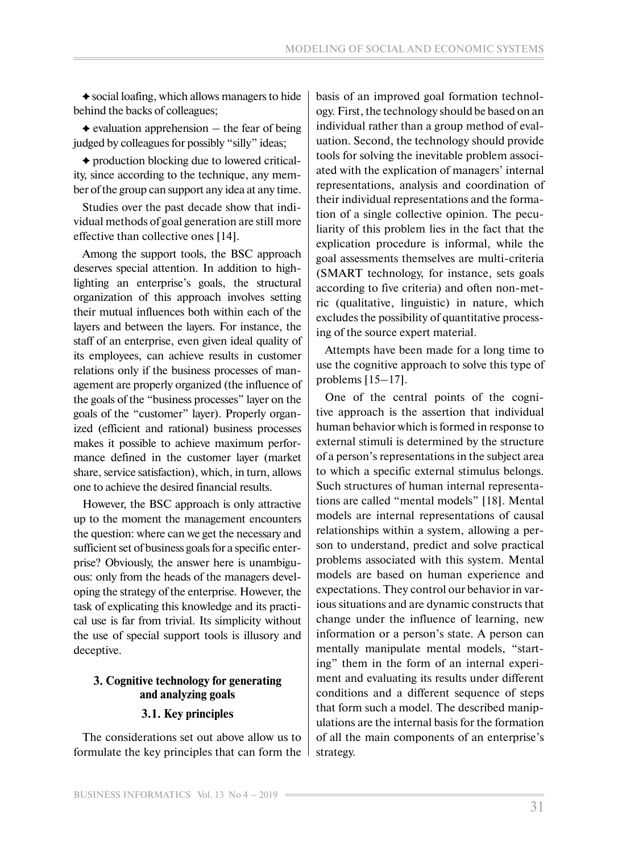$\triangle$  social loafing, which allows managers to hide behind the backs of colleagues;

 $\triangle$  evaluation apprehension  $-$  the fear of being judged by colleagues for possibly "silly" ideas;

 production blocking due to lowered criticality, since according to the technique, any member of the group can support any idea at any time.

Studies over the past decade show that individual methods of goal generation are still more effective than collective ones [14].

Among the support tools, the BSC approach deserves special attention. In addition to highlighting an enterprise's goals, the structural organization of this approach involves setting their mutual influences both within each of the layers and between the layers. For instance, the staff of an enterprise, even given ideal quality of its employees, can achieve results in customer relations only if the business processes of management are properly organized (the influence of the goals of the "business processes" layer on the goals of the "customer" layer). Properly organized (efficient and rational) business processes makes it possible to achieve maximum performance defined in the customer layer (market share, service satisfaction), which, in turn, allows one to achieve the desired financial results.

However, the BSC approach is only attractive up to the moment the management encounters the question: where can we get the necessary and sufficient set of business goals for a specific enterprise? Obviously, the answer here is unambiguous: only from the heads of the managers developing the strategy of the enterprise. However, the task of explicating this knowledge and its practical use is far from trivial. Its simplicity without the use of special support tools is illusory and deceptive.

## **3. Cognitive technology for generating and analyzing goals**

#### **3.1. Key principles**

The considerations set out above allow us to formulate the key principles that can form the basis of an improved goal formation technology. First, the technology should be based on an individual rather than a group method of evaluation. Second, the technology should provide tools for solving the inevitable problem associated with the explication of managers' internal representations, analysis and coordination of their individual representations and the formation of a single collective opinion. The peculiarity of this problem lies in the fact that the explication procedure is informal, while the goal assessments themselves are multi-criteria (SMART technology, for instance, sets goals according to five criteria) and often non-metric (qualitative, linguistic) in nature, which excludes the possibility of quantitative processing of the source expert material.

Attempts have been made for a long time to use the cognitive approach to solve this type of problems  $[15-17]$ .

One of the central points of the cognitive approach is the assertion that individual human behavior which is formed in response to external stimuli is determined by the structure of a person's representations in the subject area to which a specific external stimulus belongs. Such structures of human internal representations are called "mental models" [18]. Mental models are internal representations of causal relationships within a system, allowing a person to understand, predict and solve practical problems associated with this system. Mental models are based on human experience and expectations. They control our behavior in various situations and are dynamic constructs that change under the influence of learning, new information or a person's state. A person can mentally manipulate mental models, "starting" them in the form of an internal experiment and evaluating its results under different conditions and a different sequence of steps that form such a model. The described manipulations are the internal basis for the formation of all the main components of an enterprise's strategy.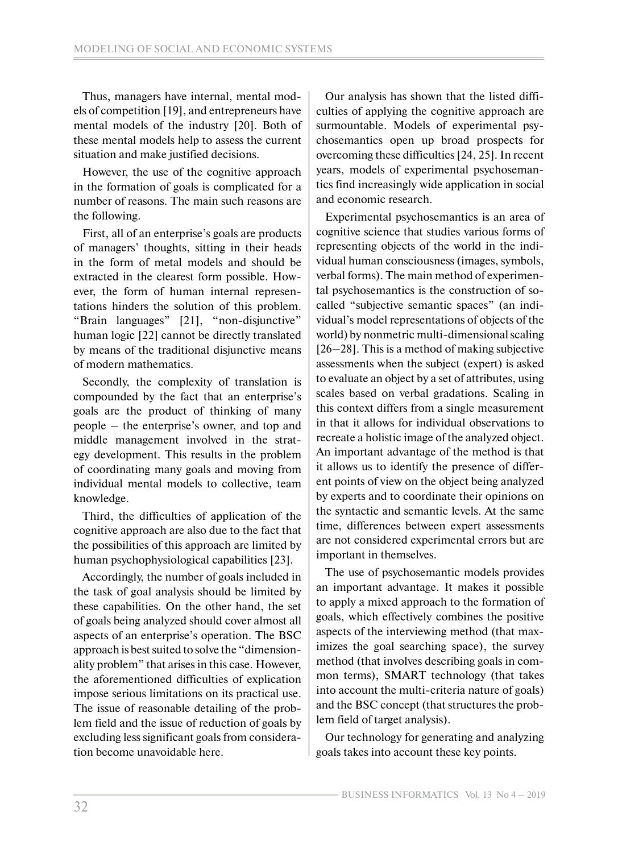Thus, managers have internal, mental models of competition [19], and entrepreneurs have mental models of the industry [20]. Both of these mental models help to assess the current situation and make justified decisions.

However, the use of the cognitive approach in the formation of goals is complicated for a number of reasons. The main such reasons are the following.

First, all of an enterprise's goals are products of managers' thoughts, sitting in their heads in the form of metal models and should be extracted in the clearest form possible. However, the form of human internal representations hinders the solution of this problem. "Brain languages" [21], "non-disjunctive" human logic [22] cannot be directly translated by means of the traditional disjunctive means of modern mathematics.

Secondly, the complexity of translation is compounded by the fact that an enterprise's goals are the product of thinking of many people – the enterprise's owner, and top and middle management involved in the strategy development. This results in the problem of coordinating many goals and moving from individual mental models to collective, team knowledge.

Third, the difficulties of application of the cognitive approach are also due to the fact that the possibilities of this approach are limited by human psychophysiological capabilities [23].

Accordingly, the number of goals included in the task of goal analysis should be limited by these capabilities. On the other hand, the set of goals being analyzed should cover almost all aspects of an enterprise's operation. The BSC approach is best suited to solve the "dimensionality problem" that arises in this case. However, the aforementioned difficulties of explication impose serious limitations on its practical use. The issue of reasonable detailing of the problem field and the issue of reduction of goals by excluding less significant goals from consideration become unavoidable here.

Our analysis has shown that the listed difficulties of applying the cognitive approach are surmountable. Models of experimental psychosemantics open up broad prospects for overcoming these difficulties [24, 25]. In recent years, models of experimental psychosemantics find increasingly wide application in social and economic research.

Experimental psychosemantics is an area of cognitive science that studies various forms of representing objects of the world in the individual human consciousness (images, symbols, verbal forms). The main method of experimental psychosemantics is the construction of socalled "subjective semantic spaces" (an individual's model representations of objects of the world) by nonmetric multi-dimensional scaling [26–28]. This is a method of making subjective assessments when the subject (expert) is asked to evaluate an object by a set of attributes, using scales based on verbal gradations. Scaling in this context differs from a single measurement in that it allows for individual observations to recreate a holistic image of the analyzed object. An important advantage of the method is that it allows us to identify the presence of different points of view on the object being analyzed by experts and to coordinate their opinions on the syntactic and semantic levels. At the same time, differences between expert assessments are not considered experimental errors but are important in themselves.

The use of psychosemantic models provides an important advantage. It makes it possible to apply a mixed approach to the formation of goals, which effectively combines the positive aspects of the interviewing method (that maximizes the goal searching space), the survey method (that involves describing goals in common terms), SMART technology (that takes into account the multi-criteria nature of goals) and the BSC concept (that structures the problem field of target analysis).

Our technology for generating and analyzing goals takes into account these key points.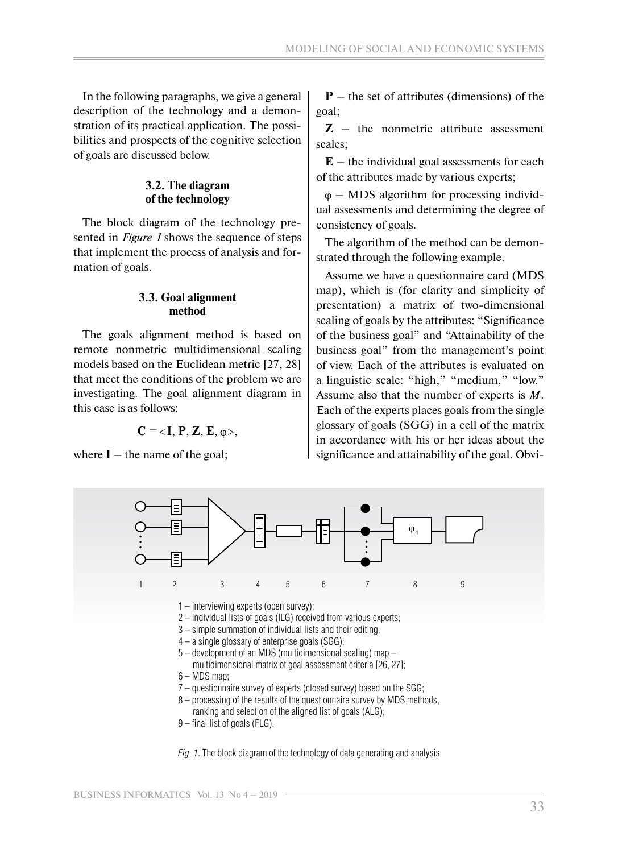In the following paragraphs, we give a general description of the technology and a demonstration of its practical application. The possibilities and prospects of the cognitive selection of goals are discussed below.

#### **3.2. The diagram of the technology**

The block diagram of the technology presented in *Figure 1* shows the sequence of steps that implement the process of analysis and formation of goals.

#### **3.3. Goal alignment method**

The goals alignment method is based on remote nonmetric multidimensional scaling models based on the Euclidean metric [27, 28] that meet the conditions of the problem we are investigating. The goal alignment diagram in this case is as follows:

 $C = < I, P, Z, E, \varphi>$ 

where  $I$  – the name of the goal;

**P** – the set of attributes (dimensions) of the goal;

**Z** – the nonmetric attribute assessment scales;

 $E$  – the individual goal assessments for each of the attributes made by various experts;

 $\varphi$  – MDS algorithm for processing individual assessments and determining the degree of consistency of goals.

The algorithm of the method can be demonstrated through the following example.

Assume we have a questionnaire card (MDS map), which is (for clarity and simplicity of presentation) a matrix of two-dimensional scaling of goals by the attributes: "Significance of the business goal" and "Attainability of the business goal" from the management's point of view. Each of the attributes is evaluated on a linguistic scale: "high," "medium," "low." Assume also that the number of experts is  $M$ . Each of the experts places goals from the single glossary of goals (SGG) in a cell of the matrix in accordance with his or her ideas about the significance and attainability of the goal. Obvi-

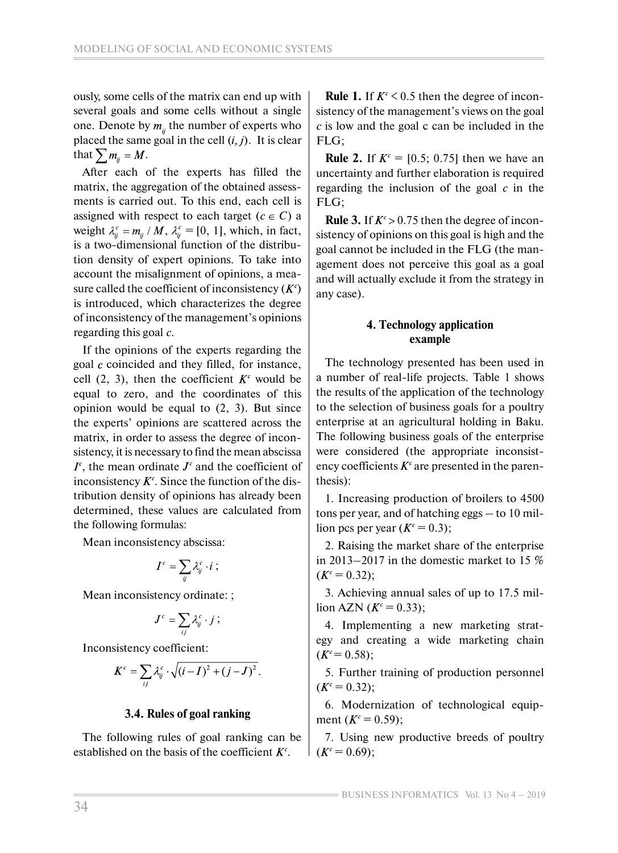ously, some cells of the matrix can end up with several goals and some cells without a single one. Denote by  $m_{ij}$  the number of experts who placed the same goal in the cell  $(i, j)$ . It is clear that  $\sum m_{ij} = M$ .

After each of the experts has filled the matrix, the aggregation of the obtained assessments is carried out. To this end, each cell is assigned with respect to each target ( $c \in C$ ) a weight  $\lambda_{ii}^c = m_{ii} / M$ ,  $\lambda_{ii}^c = [0, 1]$ , which, in fact, is a two-dimensional function of the distribution density of expert opinions. To take into account the misalignment of opinions, a measure called the coefficient of inconsistency  $(K<sup>c</sup>)$ is introduced, which characterizes the degree of inconsistency of the management's opinions regarding this goal *c*.

If the opinions of the experts regarding the goal  $c$  coincided and they filled, for instance, cell  $(2, 3)$ , then the coefficient  $K<sup>c</sup>$  would be equal to zero, and the coordinates of this opinion would be equal to (2, 3). But since the experts' opinions are scattered across the matrix, in order to assess the degree of inconsistency, it is necessary to find the mean abscissa  $I<sup>c</sup>$ , the mean ordinate  $J<sup>c</sup>$  and the coefficient of inconsistency  $K^c$ . Since the function of the distribution density of opinions has already been determined, these values are calculated from the following formulas:

Mean inconsistency abscissa:

$$
I^c = \sum_{ij} \lambda_{ij}^c \cdot i \; ;
$$

Mean inconsistency ordinate: ;

$$
J^c = \sum_{ij} \lambda_{ij}^c \cdot j \; ;
$$

Inconsistency coefficient:

$$
K^c = \sum_{ij} \lambda_{ij}^c \cdot \sqrt{(i - I)^2 + (j - J)^2}.
$$

## **3.4. Rules of goal ranking**

The following rules of goal ranking can be established on the basis of the coefficient  $K^c$ .

**Rule 1.** If  $K^c \leq 0.5$  then the degree of inconsistency of the management's views on the goal *c* is low and the goal c can be included in the FLG;

**Rule 2.** If  $K^c = [0.5; 0.75]$  then we have an uncertainty and further elaboration is required regarding the inclusion of the goal *c* in the FLG;

**Rule 3.** If  $K^c > 0.75$  then the degree of inconsistency of opinions on this goal is high and the goal cannot be included in the FLG (the management does not perceive this goal as a goal and will actually exclude it from the strategy in any case).

## **4. Technology application example**

The technology presented has been used in a number of real-life projects. Table 1 shows the results of the application of the technology to the selection of business goals for a poultry enterprise at an agricultural holding in Baku. The following business goals of the enterprise were considered (the appropriate inconsistency coefficients  $K^c$  are presented in the parenthesis):

1. Increasing production of broilers to 4500 tons per year, and of hatching eggs – to 10 million pcs per year  $(K<sup>c</sup> = 0.3)$ ;

2. Raising the market share of the enterprise in 2013–2017 in the domestic market to 15 %  $(K^c = 0.32);$ 

3. Achieving annual sales of up to 17.5 million AZN  $(K^c = 0.33)$ ;

4. Implementing a new marketing strategy and creating a wide marketing chain  $(K^c = 0.58);$ 

5. Further training of production personnel  $(K^c = 0.32);$ 

6. Modernization of technological equipment  $(K^c = 0.59)$ ;

7. Using new productive breeds of poultry  $(K^c = 0.69);$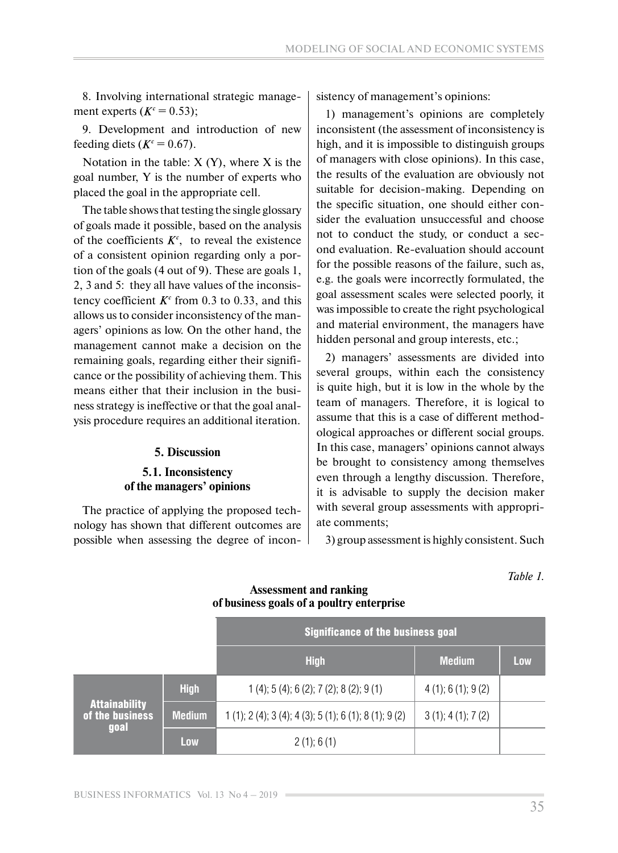8. Involving international strategic management experts  $(K<sup>c</sup> = 0.53)$ ;

9. Development and introduction of new feeding diets ( $K^c = 0.67$ ).

Notation in the table:  $X(Y)$ , where  $X$  is the goal number, Y is the number of experts who placed the goal in the appropriate cell.

The table shows that testing the single glossary of goals made it possible, based on the analysis of the coefficients  $K<sup>c</sup>$ , to reveal the existence of a consistent opinion regarding only a portion of the goals (4 out of 9). These are goals 1, 2, 3 and 5: they all have values of the inconsistency coefficient  $K^c$  from 0.3 to 0.33, and this allows us to consider inconsistency of the managers' opinions as low. On the other hand, the management cannot make a decision on the remaining goals, regarding either their significance or the possibility of achieving them. This means either that their inclusion in the business strategy is ineffective or that the goal analysis procedure requires an additional iteration.

#### **5. Discussion**

#### **5.1. Inconsistency of the managers' opinions**

The practice of applying the proposed technology has shown that different outcomes are possible when assessing the degree of inconsistency of management's opinions:

1) management's opinions are completely inconsistent (the assessment of inconsistency is high, and it is impossible to distinguish groups of managers with close opinions). In this case, the results of the evaluation are obviously not suitable for decision-making. Depending on the specific situation, one should either consider the evaluation unsuccessful and choose not to conduct the study, or conduct a second evaluation. Re-evaluation should account for the possible reasons of the failure, such as, e.g. the goals were incorrectly formulated, the goal assessment scales were selected poorly, it was impossible to create the right psychological and material environment, the managers have hidden personal and group interests, etc.;

2) managers' assessments are divided into several groups, within each the consistency is quite high, but it is low in the whole by the team of managers. Therefore, it is logical to assume that this is a case of different methodological approaches or different social groups. In this case, managers' opinions cannot always be brought to consistency among themselves even through a lengthy discussion. Therefore, it is advisable to supply the decision maker with several group assessments with appropriate comments;

3) group assessment is highly consistent. Such

*Table 1.* 

|                                                 |               | <b>Significance of the business goal</b>          |                     |     |
|-------------------------------------------------|---------------|---------------------------------------------------|---------------------|-----|
|                                                 |               | <b>High</b>                                       | <b>Medium</b>       | Low |
| <b>Attainability</b><br>of the business<br>goal | <b>High</b>   | $1(4)$ ; 5 (4); 6 (2); 7 (2); 8 (2); 9 (1)        | $4(1)$ ; 6(1); 9(2) |     |
|                                                 | <b>Medium</b> | $1(1)$ ; 2(4); 3(4); 4(3); 5(1); 6(1); 8(1); 9(2) | $3(1)$ ; 4(1); 7(2) |     |
|                                                 | Low           | $2(1)$ ; 6(1)                                     |                     |     |

#### **Assessment and ranking of business goals of a poultry enterprise**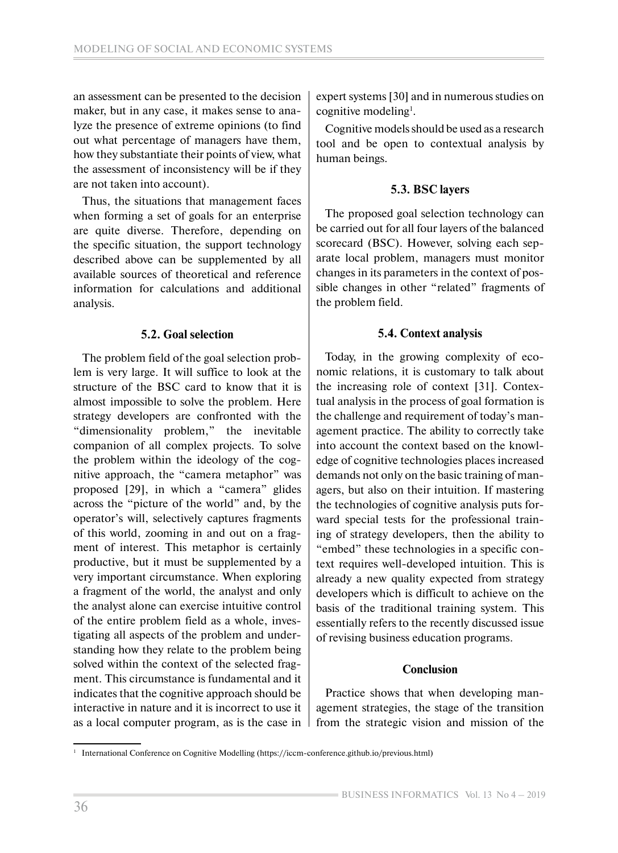an assessment can be presented to the decision maker, but in any case, it makes sense to analyze the presence of extreme opinions (to find out what percentage of managers have them, how they substantiate their points of view, what the assessment of inconsistency will be if they are not taken into account).

Thus, the situations that management faces when forming a set of goals for an enterprise are quite diverse. Therefore, depending on the specific situation, the support technology described above can be supplemented by all available sources of theoretical and reference information for calculations and additional analysis.

## **5.2. Goal selection**

The problem field of the goal selection problem is very large. It will suffice to look at the structure of the BSC card to know that it is almost impossible to solve the problem. Here strategy developers are confronted with the "dimensionality problem," the inevitable companion of all complex projects. To solve the problem within the ideology of the cognitive approach, the "camera metaphor" was proposed [29], in which a "camera" glides across the "picture of the world" and, by the operator's will, selectively captures fragments of this world, zooming in and out on a fragment of interest. This metaphor is certainly productive, but it must be supplemented by a very important circumstance. When exploring a fragment of the world, the analyst and only the analyst alone can exercise intuitive control of the entire problem field as a whole, investigating all aspects of the problem and understanding how they relate to the problem being solved within the context of the selected fragment. This circumstance is fundamental and it indicates that the cognitive approach should be interactive in nature and it is incorrect to use it as a local computer program, as is the case in expert systems [30] and in numerous studies on cognitive modeling<sup>1</sup>.

Cognitive models should be used as a research tool and be open to contextual analysis by human beings.

## **5.3. BSC layers**

The proposed goal selection technology can be carried out for all four layers of the balanced scorecard (BSC). However, solving each separate local problem, managers must monitor changes in its parameters in the context of possible changes in other "related" fragments of the problem field.

## **5.4. Context analysis**

Today, in the growing complexity of economic relations, it is customary to talk about the increasing role of context [31]. Contextual analysis in the process of goal formation is the challenge and requirement of today's management practice. The ability to correctly take into account the context based on the knowledge of cognitive technologies places increased demands not only on the basic training of managers, but also on their intuition. If mastering the technologies of cognitive analysis puts forward special tests for the professional training of strategy developers, then the ability to "embed" these technologies in a specific context requires well-developed intuition. This is already a new quality expected from strategy developers which is difficult to achieve on the basis of the traditional training system. This essentially refers to the recently discussed issue of revising business education programs.

## **Conclusion**

Practice shows that when developing management strategies, the stage of the transition from the strategic vision and mission of the

<sup>1</sup> International Conference on Cognitive Modelling (https://iccm-conference.github.io/previous.html)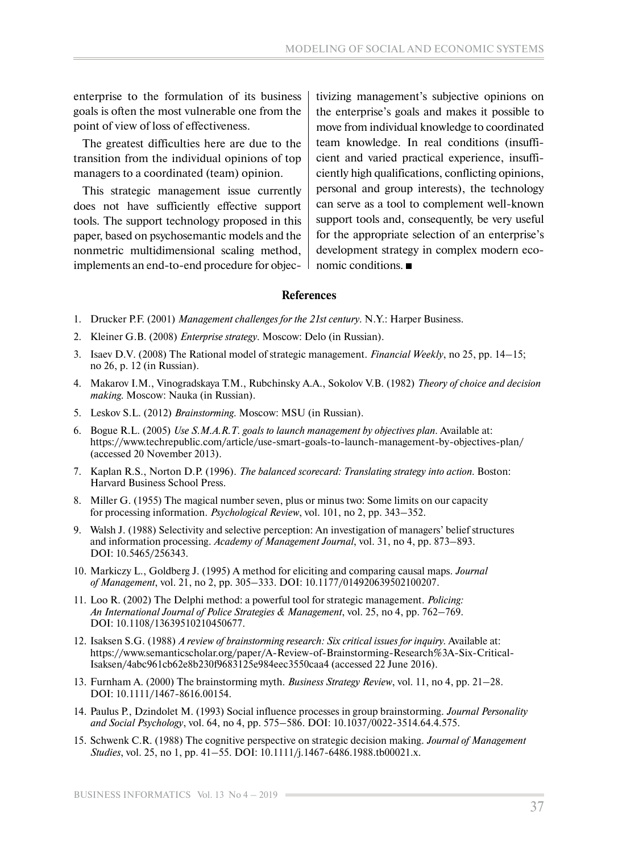enterprise to the formulation of its business goals is often the most vulnerable one from the point of view of loss of effectiveness.

The greatest difficulties here are due to the transition from the individual opinions of top managers to a coordinated (team) opinion.

This strategic management issue currently does not have sufficiently effective support tools. The support technology proposed in this paper, based on psychosemantic models and the nonmetric multidimensional scaling method, implements an end-to-end procedure for objec-

tivizing management's subjective opinions on the enterprise's goals and makes it possible to move from individual knowledge to coordinated team knowledge. In real conditions (insufficient and varied practical experience, insufficiently high qualifications, conflicting opinions, personal and group interests), the technology can serve as a tool to complement well-known support tools and, consequently, be very useful for the appropriate selection of an enterprise's development strategy in complex modern economic conditions.

#### **References**

- 1. Drucker P.F. (2001) *Management challenges for the 21st century*. N.Y.: Harper Business.
- 2. Kleiner G.B. (2008) *Enterprise strategy*. Moscow: Delo (in Russian).
- 3. Isaev D.V. (2008) The Rational model of strategic management. *Financial Weekly*, no 25, pp. 14–15; no 26, p. 12 (in Russian).
- 4. Makarov I.M., Vinogradskaya T.M., Rubchinsky A.A., Sokolov V.B. (1982) *Theory of choice and decision making*. Moscow: Nauka (in Russian).
- 5. Leskov S.L. (2012) *Brainstorming*. Moscow: MSU (in Russian).
- 6. Bogue R.L. (2005) *[Use S.M.A.R.T. goals to launch management by objectives plan](http://www.techrepublic.com/article/use-smart-goals-to-launch-management-by-objectives-plan/).* Available at: https://www.techrepublic.com/article/use-smart-goals-to-launch-management-by-objectives-plan/ (accessed 20 November 2013).
- 7. [Kaplan](https://www.toolshero.com/toolsheroes/robert-kaplan/) R.S., [Norton](https://www.toolshero.com/toolsheroes/david-norton/) D.P. (1996). *[The balanced scorecard: Translating strategy into action.](https://www.toolshero.com/go/balanced-scorecard-translating-strategy-action/)* Boston: Harvard Business School Press.
- 8. Miller G. (1955) The magical number seven, plus or minus two: Some limits on our capacity for processing information. *Psychological Review*, vol. 101, no 2, pp. 343–352.
- 9. Walsh J. (1988) Selectivity and selective perception: An investigation of managers' belief structures and information processing. *Academy of Management Journal*, vol. 31, no 4, pp. 873–893. DOI: 10.5465/256343.
- 10. Markiczy L., Goldberg J. (1995) A method for eliciting and comparing causal maps. *Journal of Management*, vol. 21, no 2, pp. 305–333. DOI: 10.1177/014920639502100207.
- 11. Loo R. (2002) The Delphi method: a powerful tool for strategic management. *Policing: An International Journal of Police Strategies & Management*, vol. 25, no 4, pp. 762–769. DOI: 10.1108/13639510210450677*.*
- 12. Isaksen S.G. (1988) *A review of brainstorming research: Six critical issues for inquiry.* Available at: https://www.semanticscholar.org/paper/A-Review-of-Brainstorming-Research%3A-Six-Critical-Isaksen/4abc961cb62e8b230f9683125e984eec3550caa4 (accessed 22 June 2016).
- 13. Furnham A. (2000) The brainstorming myth. *Business Strategy Review*, vol. 11, no 4, pp. 21–28. DOI: 10.1111/1467-8616.00154.
- 14. Paulus P., Dzindolet M. (1993) Social influence processes in group brainstorming. *Journal Personality and Social Psychology*, vol. 64, no 4, pp. 575–586. DOI: 10.1037/0022-3514.64.4.575.
- 15. Schwenk C.R. (1988) The cognitive perspective on strategic decision making. *Journal of Management Studies*, vol. 25, no 1, pp. 41–55. DOI: 10.1111/j.1467-6486.1988.tb00021.x.